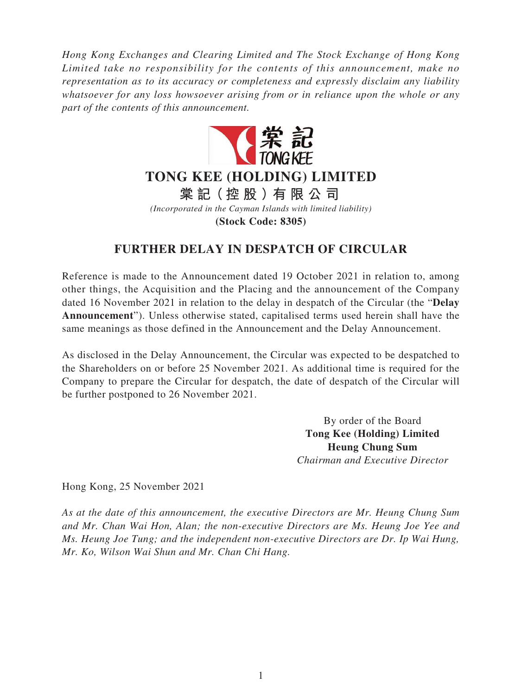*Hong Kong Exchanges and Clearing Limited and The Stock Exchange of Hong Kong Limited take no responsibility for the contents of this announcement, make no representation as to its accuracy or completeness and expressly disclaim any liability whatsoever for any loss howsoever arising from or in reliance upon the whole or any part of the contents of this announcement.*



## **TONG KEE (HOLDING) LIMITED**

**棠 記(控股)有限公司**

*(Incorporated in the Cayman Islands with limited liability)*

**(Stock Code: 8305)**

## **FURTHER DELAY IN DESPATCH OF CIRCULAR**

Reference is made to the Announcement dated 19 October 2021 in relation to, among other things, the Acquisition and the Placing and the announcement of the Company dated 16 November 2021 in relation to the delay in despatch of the Circular (the "**Delay Announcement**"). Unless otherwise stated, capitalised terms used herein shall have the same meanings as those defined in the Announcement and the Delay Announcement.

As disclosed in the Delay Announcement, the Circular was expected to be despatched to the Shareholders on or before 25 November 2021. As additional time is required for the Company to prepare the Circular for despatch, the date of despatch of the Circular will be further postponed to 26 November 2021.

> By order of the Board **Tong Kee (Holding) Limited Heung Chung Sum** *Chairman and Executive Director*

Hong Kong, 25 November 2021

*As at the date of this announcement, the executive Directors are Mr. Heung Chung Sum and Mr. Chan Wai Hon, Alan; the non-executive Directors are Ms. Heung Joe Yee and Ms. Heung Joe Tung; and the independent non-executive Directors are Dr. Ip Wai Hung, Mr. Ko, Wilson Wai Shun and Mr. Chan Chi Hang.*